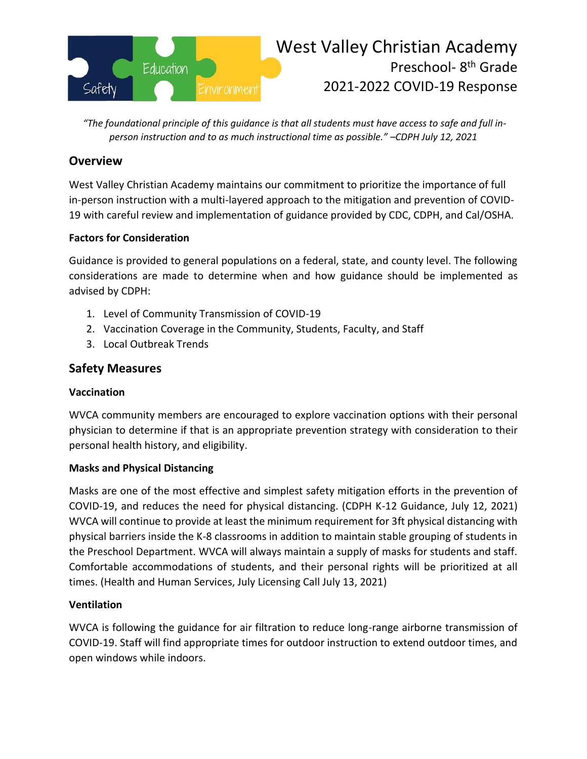

*"The foundational principle of this guidance is that all students must have access to safe and full inperson instruction and to as much instructional time as possible." –CDPH July 12, 2021*

## **Overview**

West Valley Christian Academy maintains our commitment to prioritize the importance of full in-person instruction with a multi-layered approach to the mitigation and prevention of COVID-19 with careful review and implementation of guidance provided by CDC, CDPH, and Cal/OSHA.

### **Factors for Consideration**

Guidance is provided to general populations on a federal, state, and county level. The following considerations are made to determine when and how guidance should be implemented as advised by CDPH:

- 1. Level of Community Transmission of COVID-19
- 2. Vaccination Coverage in the Community, Students, Faculty, and Staff
- 3. Local Outbreak Trends

# **Safety Measures**

#### **Vaccination**

WVCA community members are encouraged to explore vaccination options with their personal physician to determine if that is an appropriate prevention strategy with consideration to their personal health history, and eligibility.

#### **Masks and Physical Distancing**

Masks are one of the most effective and simplest safety mitigation efforts in the prevention of COVID-19, and reduces the need for physical distancing. (CDPH K-12 Guidance, July 12, 2021) WVCA will continue to provide at least the minimum requirement for 3ft physical distancing with physical barriers inside the K-8 classrooms in addition to maintain stable grouping of students in the Preschool Department. WVCA will always maintain a supply of masks for students and staff. Comfortable accommodations of students, and their personal rights will be prioritized at all times. (Health and Human Services, July Licensing Call July 13, 2021)

#### **Ventilation**

WVCA is following the guidance for air filtration to reduce long-range airborne transmission of COVID-19. Staff will find appropriate times for outdoor instruction to extend outdoor times, and open windows while indoors.